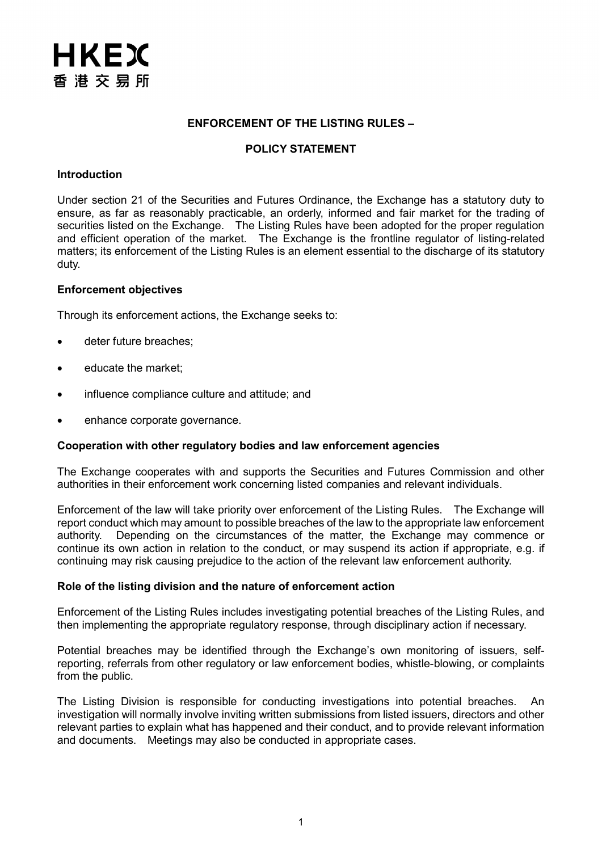## **ENFORCEMENT OF THE LISTING RULES –**

#### **POLICY STATEMENT**

#### **Introduction**

Under section 21 of the Securities and Futures Ordinance, the Exchange has a statutory duty to ensure, as far as reasonably practicable, an orderly, informed and fair market for the trading of securities listed on the Exchange. The Listing Rules have been adopted for the proper regulation and efficient operation of the market. The Exchange is the frontline regulator of listing-related matters; its enforcement of the Listing Rules is an element essential to the discharge of its statutory duty.

#### **Enforcement objectives**

Through its enforcement actions, the Exchange seeks to:

- deter future breaches;
- educate the market;
- influence compliance culture and attitude; and
- enhance corporate governance.

#### **Cooperation with other regulatory bodies and law enforcement agencies**

The Exchange cooperates with and supports the Securities and Futures Commission and other authorities in their enforcement work concerning listed companies and relevant individuals.

Enforcement of the law will take priority over enforcement of the Listing Rules. The Exchange will report conduct which may amount to possible breaches of the law to the appropriate law enforcement authority. Depending on the circumstances of the matter, the Exchange may commence or continue its own action in relation to the conduct, or may suspend its action if appropriate, e.g. if continuing may risk causing prejudice to the action of the relevant law enforcement authority.

#### **Role of the listing division and the nature of enforcement action**

Enforcement of the Listing Rules includes investigating potential breaches of the Listing Rules, and then implementing the appropriate regulatory response, through disciplinary action if necessary.

Potential breaches may be identified through the Exchange's own monitoring of issuers, selfreporting, referrals from other regulatory or law enforcement bodies, whistle-blowing, or complaints from the public.

The Listing Division is responsible for conducting investigations into potential breaches. An investigation will normally involve inviting written submissions from listed issuers, directors and other relevant parties to explain what has happened and their conduct, and to provide relevant information and documents. Meetings may also be conducted in appropriate cases.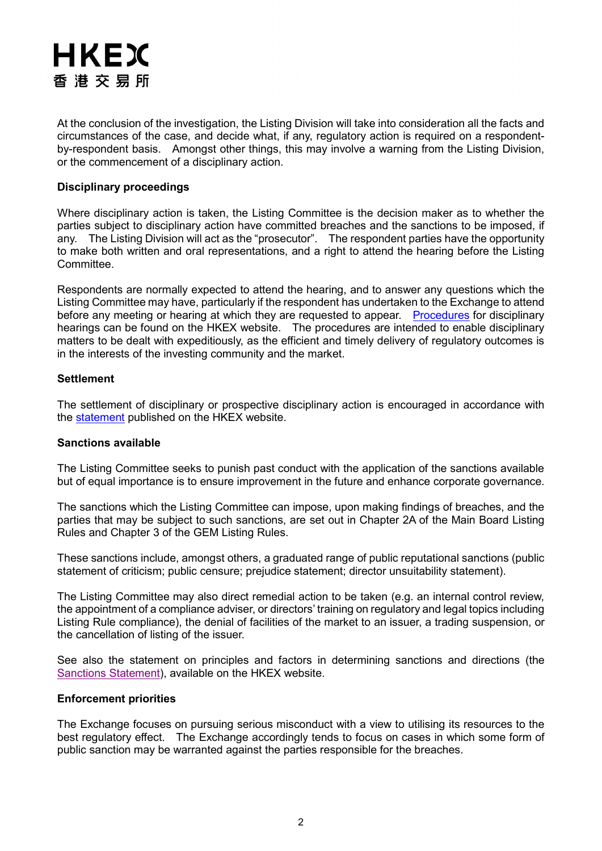# HKEX 香港交易所

At the conclusion of the investigation, the Listing Division will take into consideration all the facts and circumstances of the case, and decide what, if any, regulatory action is required on a respondentby-respondent basis. Amongst other things, this may involve a warning from the Listing Division, or the commencement of a disciplinary action.

## **Disciplinary proceedings**

Where disciplinary action is taken, the Listing Committee is the decision maker as to whether the parties subject to disciplinary action have committed breaches and the sanctions to be imposed, if any. The Listing Division will act as the "prosecutor". The respondent parties have the opportunity to make both written and oral representations, and a right to attend the hearing before the Listing Committee.

Respondents are normally expected to attend the hearing, and to answer any questions which the Listing Committee may have, particularly if the respondent has undertaken to the Exchange to attend before any meeting or hearing at which they are requested to appear. [Procedures](https://www.hkex.com.hk/Listing/Disciplinary-and-Enforcement/Disciplinary-Procedures?sc_lang=en) for disciplinary hearings can be found on the HKEX website. The procedures are intended to enable disciplinary matters to be dealt with expeditiously, as the efficient and timely delivery of regulatory outcomes is in the interests of the investing community and the market.

## **Settlement**

The settlement of disciplinary or prospective disciplinary action is encouraged in accordance with the [statement](https://www.hkex.com.hk/-/media/HKEX-Market/Listing/Rules-and-Guidance/Disciplinary-and-Enforcement/Disciplinary-Procedures-and-Enforcement-Guidance-Materials/policy-paper-settlement.pdf?la=en) published on the HKEX website.

## **Sanctions available**

The Listing Committee seeks to punish past conduct with the application of the sanctions available but of equal importance is to ensure improvement in the future and enhance corporate governance.

The sanctions which the Listing Committee can impose, upon making findings of breaches, and the parties that may be subject to such sanctions, are set out in Chapter 2A of the Main Board Listing Rules and Chapter 3 of the GEM Listing Rules.

These sanctions include, amongst others, a graduated range of public reputational sanctions (public statement of criticism; public censure; prejudice statement; director unsuitability statement).

The Listing Committee may also direct remedial action to be taken (e.g. an internal control review, the appointment of a compliance adviser, or directors' training on regulatory and legal topics including Listing Rule compliance), the denial of facilities of the market to an issuer, a trading suspension, or the cancellation of listing of the issuer.

See also the statement on principles and factors in determining sanctions and directions (the [Sanctions Statement\)](https://www.hkex.com.hk/-/media/HKEX-Market/Listing/Rules-and-Guidance/Disciplinary-and-Enforcement/Disciplinary-Procedures-and-Enforcement-Guidance-Materials/sancs_202107.pdf?la=en), available on the HKEX website.

## **Enforcement priorities**

The Exchange focuses on pursuing serious misconduct with a view to utilising its resources to the best regulatory effect. The Exchange accordingly tends to focus on cases in which some form of public sanction may be warranted against the parties responsible for the breaches.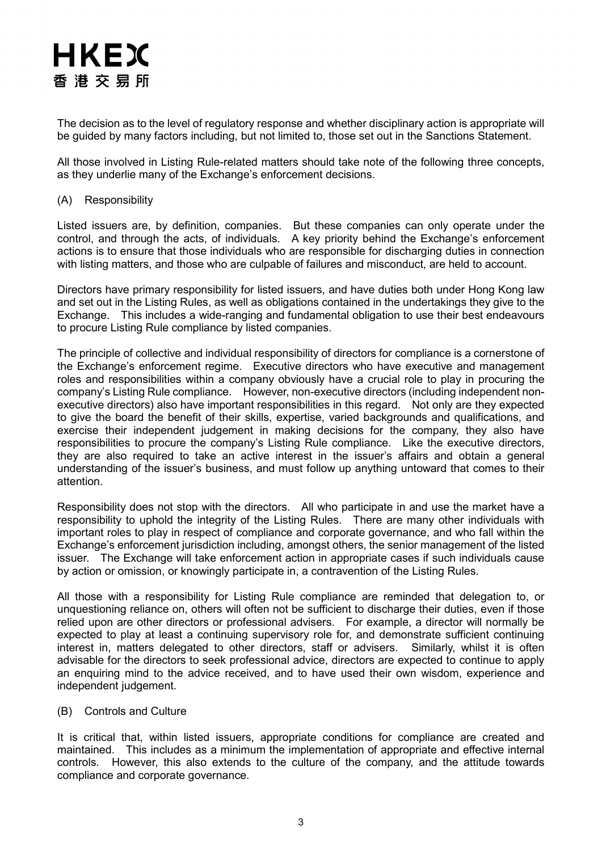

The decision as to the level of regulatory response and whether disciplinary action is appropriate will be guided by many factors including, but not limited to, those set out in the Sanctions Statement.

All those involved in Listing Rule-related matters should take note of the following three concepts, as they underlie many of the Exchange's enforcement decisions.

## (A) Responsibility

Listed issuers are, by definition, companies. But these companies can only operate under the control, and through the acts, of individuals. A key priority behind the Exchange's enforcement actions is to ensure that those individuals who are responsible for discharging duties in connection with listing matters, and those who are culpable of failures and misconduct, are held to account.

Directors have primary responsibility for listed issuers, and have duties both under Hong Kong law and set out in the Listing Rules, as well as obligations contained in the undertakings they give to the Exchange. This includes a wide-ranging and fundamental obligation to use their best endeavours to procure Listing Rule compliance by listed companies.

The principle of collective and individual responsibility of directors for compliance is a cornerstone of the Exchange's enforcement regime. Executive directors who have executive and management roles and responsibilities within a company obviously have a crucial role to play in procuring the company's Listing Rule compliance. However, non-executive directors (including independent nonexecutive directors) also have important responsibilities in this regard. Not only are they expected to give the board the benefit of their skills, expertise, varied backgrounds and qualifications, and exercise their independent judgement in making decisions for the company, they also have responsibilities to procure the company's Listing Rule compliance. Like the executive directors, they are also required to take an active interest in the issuer's affairs and obtain a general understanding of the issuer's business, and must follow up anything untoward that comes to their attention.

Responsibility does not stop with the directors. All who participate in and use the market have a responsibility to uphold the integrity of the Listing Rules. There are many other individuals with important roles to play in respect of compliance and corporate governance, and who fall within the Exchange's enforcement jurisdiction including, amongst others, the senior management of the listed issuer. The Exchange will take enforcement action in appropriate cases if such individuals cause by action or omission, or knowingly participate in, a contravention of the Listing Rules.

All those with a responsibility for Listing Rule compliance are reminded that delegation to, or unquestioning reliance on, others will often not be sufficient to discharge their duties, even if those relied upon are other directors or professional advisers. For example, a director will normally be expected to play at least a continuing supervisory role for, and demonstrate sufficient continuing interest in, matters delegated to other directors, staff or advisers. Similarly, whilst it is often advisable for the directors to seek professional advice, directors are expected to continue to apply an enquiring mind to the advice received, and to have used their own wisdom, experience and independent judgement.

## (B) Controls and Culture

It is critical that, within listed issuers, appropriate conditions for compliance are created and maintained. This includes as a minimum the implementation of appropriate and effective internal controls. However, this also extends to the culture of the company, and the attitude towards compliance and corporate governance.